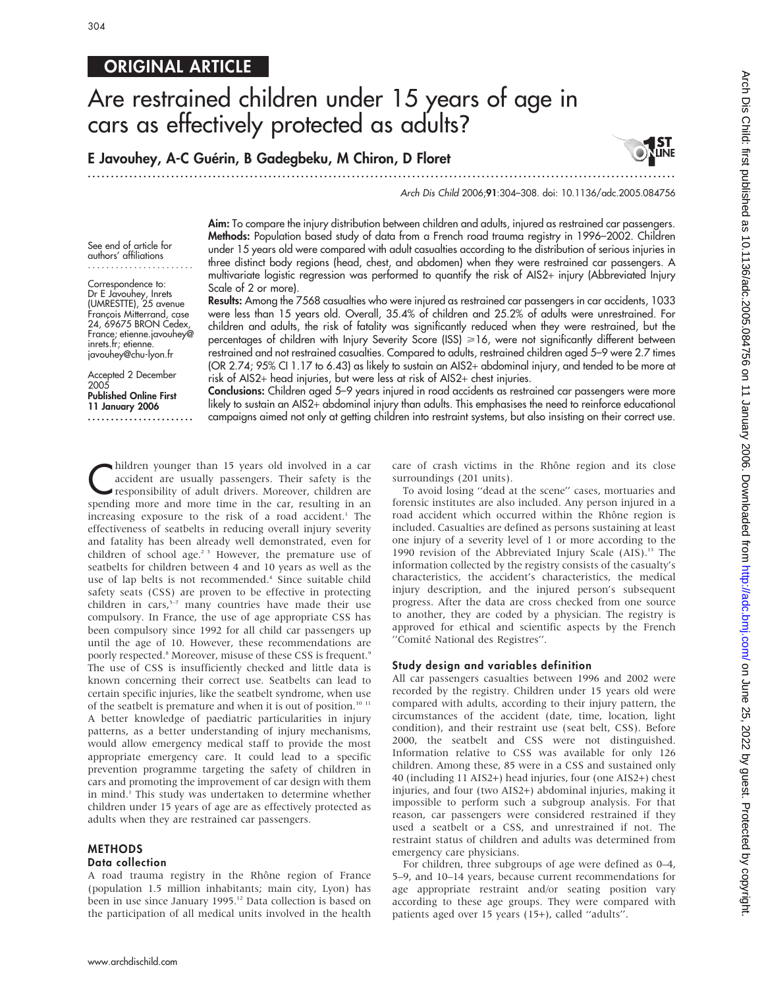See end of article for authors' affiliations ....................... Correspondence to: Dr E Javouhey, Inrets (UMRESTTE), 25 avenue Franc¸ois Mitterrand, case 24, 69675 BRON Cedex, France; etienne.javouhey@ inrets.fr; etienne. javouhey@chu-lyon.fr Accepted 2 December

Published Online First 11 January 2006 .......................

2005

# **ORIGINAL ARTICLE**

# Are restrained children under 15 years of age in cars as effectively protected as adults?

E Javouhey, A-C Guérin, B Gadegbeku, M Chiron, D Floret

.............................................................................................................................. .

Arch Dis Child 2006;91:304–308. doi: 10.1136/adc.2005.084756

Aim: To compare the injury distribution between children and adults, injured as restrained car passengers. Methods: Population based study of data from a French road trauma registry in 1996–2002. Children under 15 years old were compared with adult casualties according to the distribution of serious injuries in three distinct body regions (head, chest, and abdomen) when they were restrained car passengers. A multivariate logistic regression was performed to quantify the risk of AIS2+ injury (Abbreviated Injury Scale of 2 or more).

Results: Among the 7568 casualties who were injured as restrained car passengers in car accidents, 1033 were less than 15 years old. Overall, 35.4% of children and 25.2% of adults were unrestrained. For children and adults, the risk of fatality was significantly reduced when they were restrained, but the percentages of children with Injury Severity Score (ISS) >16, were not significantly different between restrained and not restrained casualties. Compared to adults, restrained children aged 5–9 were 2.7 times (OR 2.74; 95% CI 1.17 to 6.43) as likely to sustain an AIS2+ abdominal injury, and tended to be more at risk of AIS2+ head injuries, but were less at risk of AIS2+ chest injuries.

Conclusions: Children aged 5-9 years injured in road accidents as restrained car passengers were more likely to sustain an AIS2+ abdominal injury than adults. This emphasises the need to reinforce educational campaigns aimed not only at getting children into restraint systems, but also insisting on their correct use.

hildren younger than 15 years old involved in a car<br>accident are usually passengers. Their safety is the<br>responsibility of adult drivers. Moreover, children are<br>anoming more time in the set resulting in an accident are usually passengers. Their safety is the responsibility of adult drivers. Moreover, children are spending more and more time in the car, resulting in an increasing exposure to the risk of a road accident.<sup>1</sup> The effectiveness of seatbelts in reducing overall injury severity and fatality has been already well demonstrated, even for children of school age.<sup>2 3</sup> However, the premature use of seatbelts for children between 4 and 10 years as well as the use of lap belts is not recommended.<sup>4</sup> Since suitable child safety seats (CSS) are proven to be effective in protecting children in cars, $5-7$  many countries have made their use compulsory. In France, the use of age appropriate CSS has been compulsory since 1992 for all child car passengers up until the age of 10. However, these recommendations are poorly respected.<sup>8</sup> Moreover, misuse of these CSS is frequent.<sup>9</sup> The use of CSS is insufficiently checked and little data is known concerning their correct use. Seatbelts can lead to certain specific injuries, like the seatbelt syndrome, when use of the seatbelt is premature and when it is out of position.<sup>10 11</sup> A better knowledge of paediatric particularities in injury patterns, as a better understanding of injury mechanisms, would allow emergency medical staff to provide the most appropriate emergency care. It could lead to a specific prevention programme targeting the safety of children in cars and promoting the improvement of car design with them in mind.<sup>1</sup> This study was undertaken to determine whether children under 15 years of age are as effectively protected as adults when they are restrained car passengers.

# METHODS

# Data collection

A road trauma registry in the Rhône region of France (population 1.5 million inhabitants; main city, Lyon) has been in use since January 1995.<sup>12</sup> Data collection is based on the participation of all medical units involved in the health

care of crash victims in the Rhône region and its close surroundings (201 units).

To avoid losing ''dead at the scene'' cases, mortuaries and forensic institutes are also included. Any person injured in a road accident which occurred within the Rhône region is included. Casualties are defined as persons sustaining at least one injury of a severity level of 1 or more according to the 1990 revision of the Abbreviated Injury Scale  $(AIS).<sup>13</sup>$  The information collected by the registry consists of the casualty's characteristics, the accident's characteristics, the medical injury description, and the injured person's subsequent progress. After the data are cross checked from one source to another, they are coded by a physician. The registry is approved for ethical and scientific aspects by the French "Comité National des Registres".

#### Study design and variables definition

All car passengers casualties between 1996 and 2002 were recorded by the registry. Children under 15 years old were compared with adults, according to their injury pattern, the circumstances of the accident (date, time, location, light condition), and their restraint use (seat belt, CSS). Before 2000, the seatbelt and CSS were not distinguished. Information relative to CSS was available for only 126 children. Among these, 85 were in a CSS and sustained only 40 (including 11 AIS2+) head injuries, four (one AIS2+) chest injuries, and four (two AIS2+) abdominal injuries, making it impossible to perform such a subgroup analysis. For that reason, car passengers were considered restrained if they used a seatbelt or a CSS, and unrestrained if not. The restraint status of children and adults was determined from emergency care physicians.

For children, three subgroups of age were defined as 0–4, 5–9, and 10–14 years, because current recommendations for age appropriate restraint and/or seating position vary according to these age groups. They were compared with patients aged over 15 years (15+), called ''adults''.

**I ST<br>Line**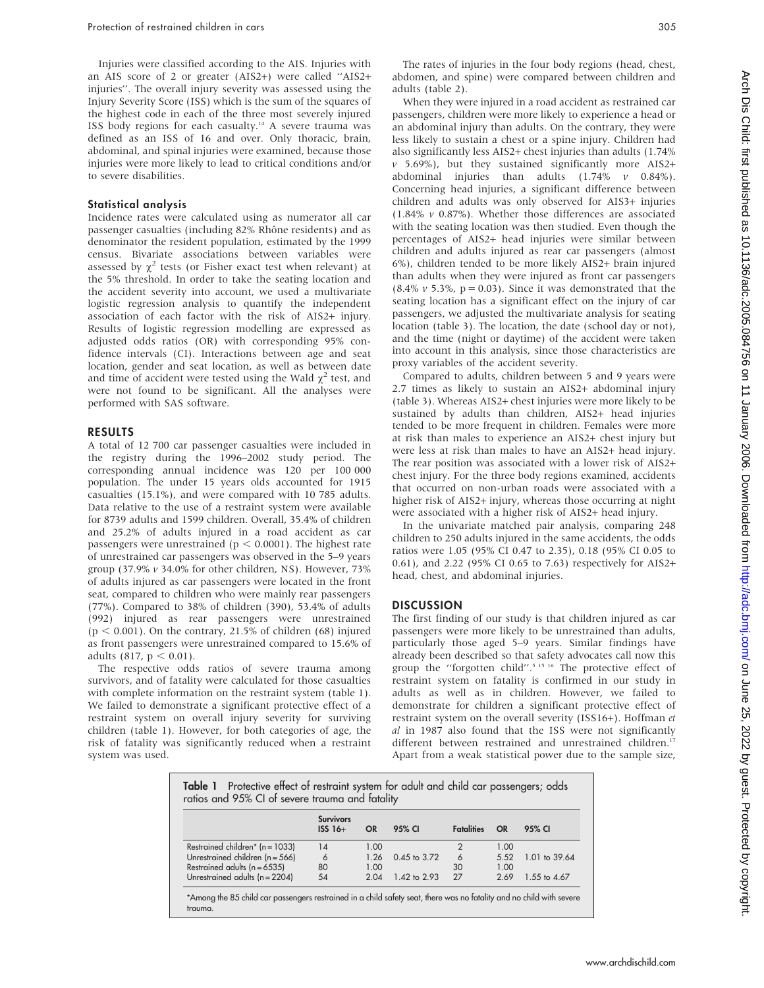Injuries were classified according to the AIS. Injuries with an AIS score of 2 or greater (AIS2+) were called ''AIS2+ injuries''. The overall injury severity was assessed using the Injury Severity Score (ISS) which is the sum of the squares of the highest code in each of the three most severely injured ISS body regions for each casualty.14 A severe trauma was defined as an ISS of 16 and over. Only thoracic, brain, abdominal, and spinal injuries were examined, because those injuries were more likely to lead to critical conditions and/or to severe disabilities.

#### Statistical analysis

Incidence rates were calculated using as numerator all car passenger casualties (including 82% Rhône residents) and as denominator the resident population, estimated by the 1999 census. Bivariate associations between variables were assessed by  $\chi^2$  tests (or Fisher exact test when relevant) at the 5% threshold. In order to take the seating location and the accident severity into account, we used a multivariate logistic regression analysis to quantify the independent association of each factor with the risk of AIS2+ injury. Results of logistic regression modelling are expressed as adjusted odds ratios (OR) with corresponding 95% confidence intervals (CI). Interactions between age and seat location, gender and seat location, as well as between date and time of accident were tested using the Wald  $\chi^2$  test, and were not found to be significant. All the analyses were performed with SAS software.

#### RESULTS

A total of 12 700 car passenger casualties were included in the registry during the 1996–2002 study period. The corresponding annual incidence was 120 per 100 000 population. The under 15 years olds accounted for 1915 casualties (15.1%), and were compared with 10 785 adults. Data relative to the use of a restraint system were available for 8739 adults and 1599 children. Overall, 35.4% of children and 25.2% of adults injured in a road accident as car passengers were unrestrained (p  $\leq$  0.0001). The highest rate of unrestrained car passengers was observed in the 5–9 years group (37.9% v 34.0% for other children, NS). However, 73% of adults injured as car passengers were located in the front seat, compared to children who were mainly rear passengers (77%). Compared to 38% of children (390), 53.4% of adults (992) injured as rear passengers were unrestrained  $(p < 0.001)$ . On the contrary, 21.5% of children (68) injured as front passengers were unrestrained compared to 15.6% of adults (817,  $p < 0.01$ ).

The respective odds ratios of severe trauma among survivors, and of fatality were calculated for those casualties with complete information on the restraint system (table 1). We failed to demonstrate a significant protective effect of a restraint system on overall injury severity for surviving children (table 1). However, for both categories of age, the risk of fatality was significantly reduced when a restraint system was used.

The rates of injuries in the four body regions (head, chest, abdomen, and spine) were compared between children and adults (table 2).

When they were injured in a road accident as restrained car passengers, children were more likely to experience a head or an abdominal injury than adults. On the contrary, they were less likely to sustain a chest or a spine injury. Children had also significantly less AIS2+ chest injuries than adults (1.74%  $v$  5.69%), but they sustained significantly more AIS2+ abdominal injuries than adults (1.74% v 0.84%). Concerning head injuries, a significant difference between children and adults was only observed for AIS3+ injuries (1.84% v 0.87%). Whether those differences are associated with the seating location was then studied. Even though the percentages of AIS2+ head injuries were similar between children and adults injured as rear car passengers (almost 6%), children tended to be more likely AIS2+ brain injured than adults when they were injured as front car passengers  $(8.4\% \text{ v } 5.3\%, \text{ p } = 0.03)$ . Since it was demonstrated that the seating location has a significant effect on the injury of car passengers, we adjusted the multivariate analysis for seating location (table 3). The location, the date (school day or not), and the time (night or daytime) of the accident were taken into account in this analysis, since those characteristics are proxy variables of the accident severity.

Compared to adults, children between 5 and 9 years were 2.7 times as likely to sustain an AIS2+ abdominal injury (table 3). Whereas AIS2+ chest injuries were more likely to be sustained by adults than children, AIS2+ head injuries tended to be more frequent in children. Females were more at risk than males to experience an AIS2+ chest injury but were less at risk than males to have an AIS2+ head injury. The rear position was associated with a lower risk of AIS2+ chest injury. For the three body regions examined, accidents that occurred on non-urban roads were associated with a higher risk of AIS2+ injury, whereas those occurring at night were associated with a higher risk of AIS2+ head injury.

In the univariate matched pair analysis, comparing 248 children to 250 adults injured in the same accidents, the odds ratios were 1.05 (95% CI 0.47 to 2.35), 0.18 (95% CI 0.05 to 0.61), and 2.22 (95% CI 0.65 to 7.63) respectively for AIS2+ head, chest, and abdominal injuries.

#### DISCUSSION

The first finding of our study is that children injured as car passengers were more likely to be unrestrained than adults, particularly those aged 5–9 years. Similar findings have already been described so that safety advocates call now this group the "forgotten child".<sup>5 15 16</sup> The protective effect of restraint system on fatality is confirmed in our study in adults as well as in children. However, we failed to demonstrate for children a significant protective effect of restraint system on the overall severity (ISS16+). Hoffman et al in 1987 also found that the ISS were not significantly different between restrained and unrestrained children.<sup>17</sup> Apart from a weak statistical power due to the sample size,

Table 1 Protective effect of restraint system for adult and child car passengers; odds ratios and 95% CI of severe trauma and fatality

|                                     | <b>Survivors</b><br>$ISS$ 16+ | <b>OR</b> | 95% CI           | <b>Fatalities</b> | <b>OR</b> | 95% CI        |
|-------------------------------------|-------------------------------|-----------|------------------|-------------------|-----------|---------------|
| Restrained children* ( $n = 1033$ ) | 14                            | 1.00      |                  |                   | 1.00      |               |
| Unrestrained children $(n = 566)$   | 6                             | 1.26      | $0.45$ to $3.72$ | 6                 | 5.52      | 1.01 to 39.64 |
| Restrained adults $(n = 6535)$      | 80                            | 1.00      |                  | 30                | 1.00      |               |
| Unrestrained adults (n = 2204)      | 54                            | 204       | 1.42 to 2.93     | 27                | 2.69      | 1.55 to 4.67  |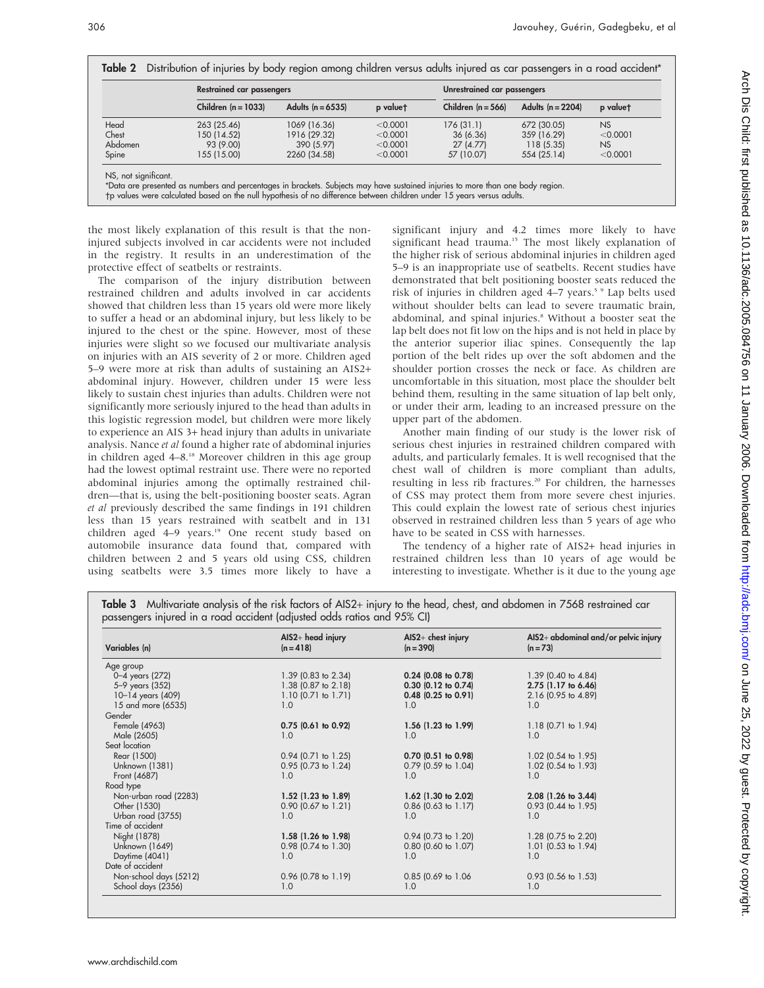|         | <b>Restrained car passengers</b> |                     | Unrestrained car passengers |                      |                     |           |
|---------|----------------------------------|---------------------|-----------------------------|----------------------|---------------------|-----------|
|         | Children $(n = 1033)$            | Adults $(n = 6535)$ | p valuet                    | Children $(n = 566)$ | Adults $(n = 2204)$ | p valuet  |
| Head    | 263 (25.46)                      | 1069 (16.36)        | < 0.0001                    | 176(31.1)            | 672 (30.05)         | <b>NS</b> |
| Chest   | 150 (14.52)                      | 1916 (29.32)        | < 0.0001                    | 36 (6.36)            | 359 (16.29)         | < 0.0001  |
| Abdomen | 93 (9.00)                        | 390 (5.97)          | < 0.0001                    | 27(4.77)             | 118(5.35)           | <b>NS</b> |
| Spine   | 155 (15.00)                      | 2260 (34.58)        | < 0.0001                    | 57 (10.07)           | 554 (25.14)         | < 0.0001  |

-p values were calculated based on the null hypothesis of no difference between children under 15 years versus adults.

the most likely explanation of this result is that the noninjured subjects involved in car accidents were not included in the registry. It results in an underestimation of the protective effect of seatbelts or restraints.

The comparison of the injury distribution between restrained children and adults involved in car accidents showed that children less than 15 years old were more likely to suffer a head or an abdominal injury, but less likely to be injured to the chest or the spine. However, most of these injuries were slight so we focused our multivariate analysis on injuries with an AIS severity of 2 or more. Children aged 5–9 were more at risk than adults of sustaining an AIS2+ abdominal injury. However, children under 15 were less likely to sustain chest injuries than adults. Children were not significantly more seriously injured to the head than adults in this logistic regression model, but children were more likely to experience an AIS 3+ head injury than adults in univariate analysis. Nance et al found a higher rate of abdominal injuries in children aged 4–8.18 Moreover children in this age group had the lowest optimal restraint use. There were no reported abdominal injuries among the optimally restrained children—that is, using the belt-positioning booster seats. Agran et al previously described the same findings in 191 children less than 15 years restrained with seatbelt and in 131 children aged 4-9 years.<sup>19</sup> One recent study based on automobile insurance data found that, compared with children between 2 and 5 years old using CSS, children using seatbelts were 3.5 times more likely to have a

significant injury and 4.2 times more likely to have significant head trauma.<sup>15</sup> The most likely explanation of the higher risk of serious abdominal injuries in children aged 5–9 is an inappropriate use of seatbelts. Recent studies have demonstrated that belt positioning booster seats reduced the risk of injuries in children aged 4–7 years.<sup>5</sup> Lap belts used without shoulder belts can lead to severe traumatic brain, abdominal, and spinal injuries.<sup>8</sup> Without a booster seat the lap belt does not fit low on the hips and is not held in place by the anterior superior iliac spines. Consequently the lap portion of the belt rides up over the soft abdomen and the shoulder portion crosses the neck or face. As children are uncomfortable in this situation, most place the shoulder belt behind them, resulting in the same situation of lap belt only, or under their arm, leading to an increased pressure on the upper part of the abdomen.

Another main finding of our study is the lower risk of serious chest injuries in restrained children compared with adults, and particularly females. It is well recognised that the chest wall of children is more compliant than adults, resulting in less rib fractures.<sup>20</sup> For children, the harnesses of CSS may protect them from more severe chest injuries. This could explain the lowest rate of serious chest injuries observed in restrained children less than 5 years of age who have to be seated in CSS with harnesses.

The tendency of a higher rate of AIS2+ head injuries in restrained children less than 10 years of age would be interesting to investigate. Whether is it due to the young age

|  | Table 3 Multivariate analysis of the risk factors of AIS2+ injury to the head, chest, and abdomen in 7568 restrained car |  |  |  |  |
|--|--------------------------------------------------------------------------------------------------------------------------|--|--|--|--|
|  | passengers injured in a road accident (adjusted odds ratios and 95% CI)                                                  |  |  |  |  |

| Variables (n)          | $AIS2+head$ injury<br>$(n = 418)$ | $AIS2+$ chest injury<br>$(n = 390)$ | AIS2+ abdominal and/or pelvic injury<br>$(n = 73)$ |
|------------------------|-----------------------------------|-------------------------------------|----------------------------------------------------|
| Age group              |                                   |                                     |                                                    |
| 0-4 years (272)        | 1.39 (0.83 to 2.34)               | $0.24$ (0.08 to 0.78)               | $1.39$ (0.40 to 4.84)                              |
| 5-9 years (352)        | 1.38 (0.87 to 2.18)               | $0.30$ (0.12 to 0.74)               | 2.75 (1.17 to 6.46)                                |
| 10-14 years (409)      | $1.10$ (0.71 to 1.71)             | $0.48$ (0.25 to 0.91)               | 2.16 (0.95 to 4.89)                                |
| 15 and more (6535)     | 1.0                               | 1.0                                 | 1.0                                                |
| Gender                 |                                   |                                     |                                                    |
| Female (4963)          | $0.75$ (0.61 to 0.92)             | 1.56 (1.23 to 1.99)                 | $1.18$ (0.71 to 1.94)                              |
| Male (2605)            | 1.0                               | 1.0                                 | 1.0                                                |
| Seat location          |                                   |                                     |                                                    |
| Rear (1500)            | $0.94$ (0.71 to 1.25)             | $0.70$ $(0.51$ to $0.98)$           | $1.02$ (0.54 to 1.95)                              |
| Unknown (1381)         | 0.95 (0.73 to 1.24)               | $0.79$ (0.59 to 1.04)               | 1.02 (0.54 to 1.93)                                |
| Front (4687)           | 1.0                               | 1.0                                 | 1.0                                                |
| Road type              |                                   |                                     |                                                    |
| Non-urban road (2283)  | $1.52$ (1.23 to 1.89)             | $1.62$ (1.30 to 2.02)               | 2.08 (1.26 to 3.44)                                |
| Other (1530)           | $0.90$ (0.67 to 1.21)             | $0.86$ (0.63 to 1.17)               | $0.93$ (0.44 to 1.95)                              |
| Urban road (3755)      | 1.0                               | 1.0                                 | 1.0                                                |
| Time of accident       |                                   |                                     |                                                    |
| Night (1878)           | $1.58$ (1.26 to 1.98)             | $0.94$ (0.73 to 1.20)               | 1.28 (0.75 to 2.20)                                |
| Unknown (1649)         | 0.98 (0.74 to 1.30)               | $0.80$ (0.60 to 1.07)               | 1.01 $(0.53 \text{ to } 1.94)$                     |
| Daytime (4041)         | 1.0                               | 1.0                                 | 1.0                                                |
| Date of accident       |                                   |                                     |                                                    |
| Non-school days (5212) | $0.96$ (0.78 to 1.19)             | 0.85 (0.69 to 1.06)                 | $0.93$ (0.56 to 1.53)                              |
| School days (2356)     | 1.0                               | 1.0                                 | 1.0                                                |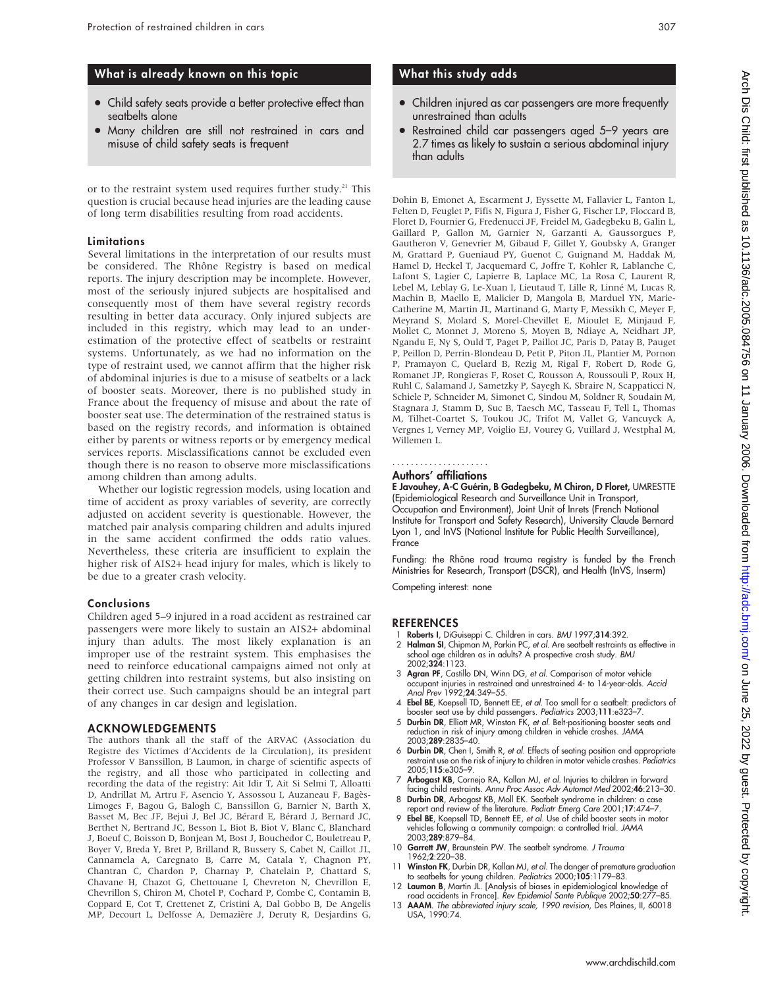# What is already known on this topic

- Child safety seats provide a better protective effect than seatbelts alone
- Many children are still not restrained in cars and misuse of child safety seats is frequent

or to the restraint system used requires further study.<sup>21</sup> This question is crucial because head injuries are the leading cause of long term disabilities resulting from road accidents.

#### **Limitations**

Several limitations in the interpretation of our results must be considered. The Rhône Registry is based on medical reports. The injury description may be incomplete. However, most of the seriously injured subjects are hospitalised and consequently most of them have several registry records resulting in better data accuracy. Only injured subjects are included in this registry, which may lead to an underestimation of the protective effect of seatbelts or restraint systems. Unfortunately, as we had no information on the type of restraint used, we cannot affirm that the higher risk of abdominal injuries is due to a misuse of seatbelts or a lack of booster seats. Moreover, there is no published study in France about the frequency of misuse and about the rate of booster seat use. The determination of the restrained status is based on the registry records, and information is obtained either by parents or witness reports or by emergency medical services reports. Misclassifications cannot be excluded even though there is no reason to observe more misclassifications among children than among adults.

Whether our logistic regression models, using location and time of accident as proxy variables of severity, are correctly adjusted on accident severity is questionable. However, the matched pair analysis comparing children and adults injured in the same accident confirmed the odds ratio values. Nevertheless, these criteria are insufficient to explain the higher risk of AIS2+ head injury for males, which is likely to be due to a greater crash velocity.

#### Conclusions

Children aged 5–9 injured in a road accident as restrained car passengers were more likely to sustain an AIS2+ abdominal injury than adults. The most likely explanation is an improper use of the restraint system. This emphasises the need to reinforce educational campaigns aimed not only at getting children into restraint systems, but also insisting on their correct use. Such campaigns should be an integral part of any changes in car design and legislation.

### ACKNOWLEDGEMENTS

The authors thank all the staff of the ARVAC (Association du Registre des Victimes d'Accidents de la Circulation), its president Professor V Banssillon, B Laumon, in charge of scientific aspects of the registry, and all those who participated in collecting and recording the data of the registry: Ait Idir T, Ait Si Selmi T, Alloatti D, Andrillat M, Artru F, Asencio Y, Assossou I, Auzaneau F, Bagès-Limoges F, Bagou G, Balogh C, Banssillon G, Barnier N, Barth X, Basset M, Bec JF, Bejui J, Bel JC, Bérard E, Bérard J, Bernard JC, Berthet N, Bertrand JC, Besson L, Biot B, Biot V, Blanc C, Blanchard J, Boeuf C, Boisson D, Bonjean M, Bost J, Bouchedor C, Bouletreau P, Boyer V, Breda Y, Bret P, Brilland R, Bussery S, Cabet N, Caillot JL, Cannamela A, Caregnato B, Carre M, Catala Y, Chagnon PY, Chantran C, Chardon P, Charnay P, Chatelain P, Chattard S, Chavane H, Chazot G, Chettouane I, Chevreton N, Chevrillon E, Chevrillon S, Chiron M, Chotel P, Cochard P, Combe C, Contamin B, Coppard E, Cot T, Crettenet Z, Cristini A, Dal Gobbo B, De Angelis MP, Decourt L, Delfosse A, Demazière J, Deruty R, Desjardins G,

# What this study adds

- Children injured as car passengers are more frequently unrestrained than adults
- Restrained child car passengers aged 5-9 years are 2.7 times as likely to sustain a serious abdominal injury than adults

Dohin B, Emonet A, Escarment J, Eyssette M, Fallavier L, Fanton L, Felten D, Feuglet P, Fifis N, Figura J, Fisher G, Fischer LP, Floccard B, Floret D, Fournier G, Fredenucci JF, Freidel M, Gadegbeku B, Galin L, Gaillard P, Gallon M, Garnier N, Garzanti A, Gaussorgues P, Gautheron V, Genevrier M, Gibaud F, Gillet Y, Goubsky A, Granger M, Grattard P, Gueniaud PY, Guenot C, Guignand M, Haddak M, Hamel D, Heckel T, Jacquemard C, Joffre T, Kohler R, Lablanche C, Lafont S, Lagier C, Lapierre B, Laplace MC, La Rosa C, Laurent R, Lebel M, Leblay G, Le-Xuan I, Lieutaud T, Lille R, Linné M, Lucas R, Machin B, Maello E, Malicier D, Mangola B, Marduel YN, Marie-Catherine M, Martin JL, Martinand G, Marty F, Messikh C, Meyer F, Meyrand S, Molard S, Morel-Chevillet E, Mioulet E, Minjaud F, Mollet C, Monnet J, Moreno S, Moyen B, Ndiaye A, Neidhart JP, Ngandu E, Ny S, Ould T, Paget P, Paillot JC, Paris D, Patay B, Pauget P, Peillon D, Perrin-Blondeau D, Petit P, Piton JL, Plantier M, Pornon P, Pramayon C, Quelard B, Rezig M, Rigal F, Robert D, Rode G, Romanet JP, Rongieras F, Roset C, Rousson A, Roussouli P, Roux H, Ruhl C, Salamand J, Sametzky P, Sayegh K, Sbraire N, Scappaticci N, Schiele P, Schneider M, Simonet C, Sindou M, Soldner R, Soudain M, Stagnara J, Stamm D, Suc B, Taesch MC, Tasseau F, Tell L, Thomas M, Tilhet-Coartet S, Toukou JC, Trifot M, Vallet G, Vancuyck A, Vergnes I, Verney MP, Voiglio EJ, Vourey G, Vuillard J, Westphal M, Willemen L.

#### .....................

#### Authors' affiliations

E Javouhey, A-C Guérin, B Gadegbeku, M Chiron, D Floret, UMRESTTE (Epidemiological Research and Surveillance Unit in Transport, Occupation and Environment), Joint Unit of Inrets (French National Institute for Transport and Safety Research), University Claude Bernard Lyon 1, and InVS (National Institute for Public Health Surveillance), France

Funding: the Rhône road trauma registry is funded by the French Ministries for Research, Transport (DSCR), and Health (InVS, Inserm)

Competing interest: none

#### **REFERENCES**

- Roberts I, DiGuiseppi C. Children in cars. BMJ 1997;314:392. 2 Halman SI, Chipman M, Parkin PC, et al. Are seatbelt restraints as effective in
- school age children as in adults? A prospective crash study. BMJ 2002;324:1123. 3 Agran PF, Castillo DN, Winn DG, et al. Comparison of motor vehicle
- occupant injuries in restrained and unrestrained 4- to 14-year-olds. Accid Anal Prev 1992;24:349–55.
- 4 Ebel BE, Koepsell TD, Bennett EE, et al. Too small for a seatbelt: predictors of booster seat use by child passengers. Pediatrics 2003;111:e323–7.
- 5 **Durbin DR**, Elliott MR, Winston FK, *et al.* Belt-positioning booster seats and<br>reduction in risk of injury among children in vehicle crashes. *JAMA* 2003;289:2835–40.
- 6 Durbin DR, Chen I, Smith R, et al. Effects of seating position and appropriate restraint use on the risk of injury to children in motor vehicle crashes. Pediatrics 2005;115:e305–9.
- 7 Arbogast KB, Cornejo RA, Kallan MJ, et al. Injuries to children in forward facing child restraints. Annu Proc Assoc Adv Automot Med 2002;46:213–30.
- 8 Durbin DR, Arbogast KB, Moll EK. Seatbelt syndrome in children: a case report and review of the literature. *Pediatr Emerg Care* 2001;1**7**:474–7.<br>9 **Ebel BE**, Koepsell TD, Bennett EE, *et al*. Use of child booster seats in motor
- vehicles tollowing a community campaign: a controlled trial. *JAMA*<br>2003;**289**:879–84.
- 10 Garrett JW, Braunstein PW. The seatbelt syndrome. J Trauma 1962;2:220–38.
- 11 Winston FK, Durbin DR, Kallan MJ, et al. The danger of premature graduation to seatbelts for young children. Pediatrics 2000;105:1179–83. 12 Laumon B, Martin JL. [Analysis of biases in epidemiological knowledge of
- road accidents in France]. Rev Epidemiol Sante Publique 2002;50:277–85.
- 13 AAAM. The abbreviated injury scale, 1990 revision, Des Plaines, II, 60018 USA, 1990:74.